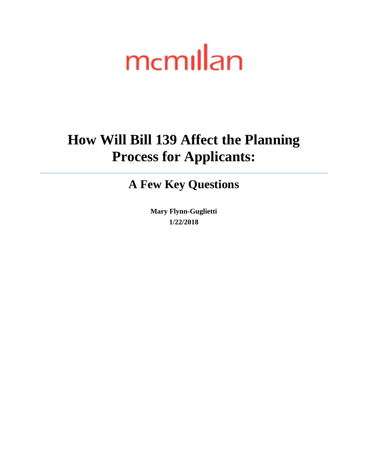# mcmillan

## **How Will Bill 139 Affect the Planning Process for Applicants:**

## **A Few Key Questions**

**Mary Flynn-Guglietti 1/22/2018**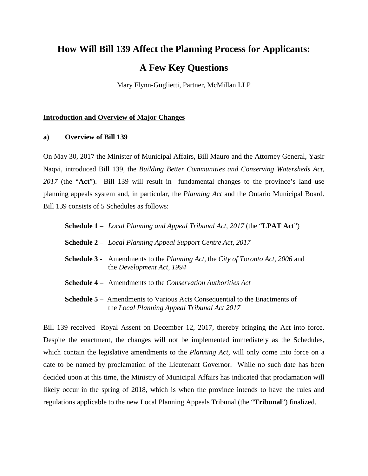## **How Will Bill 139 Affect the Planning Process for Applicants:**

### **A Few Key Questions**

Mary Flynn-Guglietti, Partner, McMillan LLP

#### **Introduction and Overview of Major Changes**

#### **a) Overview of Bill 139**

On May 30, 2017 the Minister of Municipal Affairs, Bill Mauro and the Attorney General, Yasir Naqvi, introduced Bill 139, the *Building Better Communities and Conserving Watersheds Act, 2017* (the "**Act**").Bill 139 will result in fundamental changes to the province's land use planning appeals system and, in particular, the *Planning Act* and the Ontario Municipal Board. Bill 139 consists of 5 Schedules as follows:

| <b>Schedule 1</b> – Local Planning and Appeal Tribunal Act, 2017 (the " <b>LPAT Act</b> ")                                       |
|----------------------------------------------------------------------------------------------------------------------------------|
| <b>Schedule 2</b> – Local Planning Appeal Support Centre Act, 2017                                                               |
| <b>Schedule 3</b> - Amendments to the Planning Act, the City of Toronto Act, 2006 and<br>the Development Act, 1994               |
| <b>Schedule 4</b> – Amendments to the <i>Conservation Authorities Act</i>                                                        |
| <b>Schedule 5</b> – Amendments to Various Acts Consequential to the Enactments of<br>the Local Planning Appeal Tribunal Act 2017 |

Bill 139 received Royal Assent on December 12, 2017, thereby bringing the Act into force. Despite the enactment, the changes will not be implemented immediately as the Schedules, which contain the legislative amendments to the *Planning Act,* will only come into force on a date to be named by proclamation of the Lieutenant Governor. While no such date has been decided upon at this time, the Ministry of Municipal Affairs has indicated that proclamation will likely occur in the spring of 2018, which is when the province intends to have the rules and regulations applicable to the new Local Planning Appeals Tribunal (the "**Tribunal**") finalized.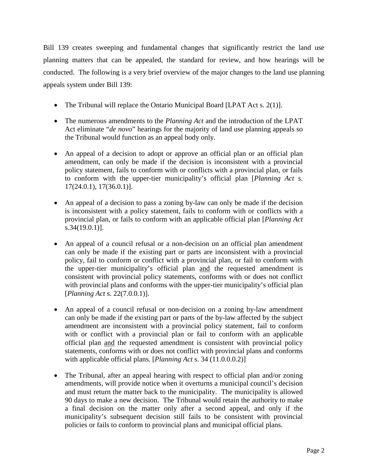Bill 139 creates sweeping and fundamental changes that significantly restrict the land use planning matters that can be appealed, the standard for review, and how hearings will be conducted. The following is a very brief overview of the major changes to the land use planning appeals system under Bill 139:

- The Tribunal will replace the Ontario Municipal Board [LPAT Act s. 2(1)].
- The numerous amendments to the *Planning Act* and the introduction of the LPAT Act eliminate "*de novo*" hearings for the majority of land use planning appeals so the Tribunal would function as an appeal body only.
- An appeal of a decision to adopt or approve an official plan or an official plan amendment, can only be made if the decision is inconsistent with a provincial policy statement, fails to conform with or conflicts with a provincial plan, or fails to conform with the upper-tier municipality's official plan [*Planning Act* s. 17(24.0.1), 17(36.0.1)].
- An appeal of a decision to pass a zoning by-law can only be made if the decision is inconsistent with a policy statement, fails to conform with or conflicts with a provincial plan, or fails to conform with an applicable official plan [*Planning Act*  s.34(19.0.1)].
- An appeal of a council refusal or a non-decision on an official plan amendment can only be made if the existing part or parts are inconsistent with a provincial policy, fail to conform or conflict with a provincial plan, or fail to conform with the upper-tier municipality's official plan and the requested amendment is consistent with provincial policy statements, conforms with or does not conflict with provincial plans and conforms with the upper-tier municipality's official plan [*Planning Act* s. 22(7.0.0.1)].
- An appeal of a council refusal or non-decision on a zoning by-law amendment can only be made if the existing part or parts of the by-law affected by the subject amendment are inconsistent with a provincial policy statement, fail to conform with or conflict with a provincial plan or fail to conform with an applicable official plan and the requested amendment is consistent with provincial policy statements, conforms with or does not conflict with provincial plans and conforms with applicable official plans. [*Planning Act* s. 34 (11.0.0.0.2)]
- The Tribunal, after an appeal hearing with respect to official plan and/or zoning amendments, will provide notice when it overturns a municipal council's decision and must return the matter back to the municipality. The municipality is allowed 90 days to make a new decision. The Tribunal would retain the authority to make a final decision on the matter only after a second appeal, and only if the municipality's subsequent decision still fails to be consistent with provincial policies or fails to conform to provincial plans and municipal official plans.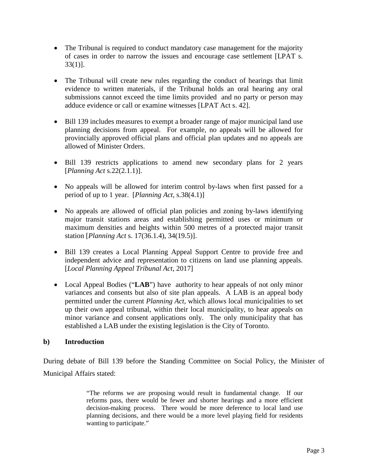- The Tribunal is required to conduct mandatory case management for the majority of cases in order to narrow the issues and encourage case settlement [LPAT s. 33(1)].
- The Tribunal will create new rules regarding the conduct of hearings that limit evidence to written materials, if the Tribunal holds an oral hearing any oral submissions cannot exceed the time limits provided and no party or person may adduce evidence or call or examine witnesses [LPAT Act s. 42].
- Bill 139 includes measures to exempt a broader range of major municipal land use planning decisions from appeal. For example, no appeals will be allowed for provincially approved official plans and official plan updates and no appeals are allowed of Minister Orders.
- Bill 139 restricts applications to amend new secondary plans for 2 years [*Planning Act* s.22(2.1.1)].
- No appeals will be allowed for interim control by-laws when first passed for a period of up to 1 year. [*Planning Act*, s.38(4.1)]
- No appeals are allowed of official plan policies and zoning by-laws identifying major transit stations areas and establishing permitted uses or minimum or maximum densities and heights within 500 metres of a protected major transit station [*Planning Act* s. 17(36.1.4), 34(19.5)].
- Bill 139 creates a Local Planning Appeal Support Centre to provide free and independent advice and representation to citizens on land use planning appeals. [*Local Planning Appeal Tribunal Act*, 2017]
- Local Appeal Bodies ("**LAB**") have authority to hear appeals of not only minor variances and consents but also of site plan appeals. A LAB is an appeal body permitted under the current *Planning Act*, which allows local municipalities to set up their own appeal tribunal, within their local municipality, to hear appeals on minor variance and consent applications only. The only municipality that has established a LAB under the existing legislation is the City of Toronto.

#### **b) Introduction**

During debate of Bill 139 before the Standing Committee on Social Policy, the Minister of Municipal Affairs stated:

> "The reforms we are proposing would result in fundamental change. If our reforms pass, there would be fewer and shorter hearings and a more efficient decision-making process. There would be more deference to local land use planning decisions, and there would be a more level playing field for residents wanting to participate."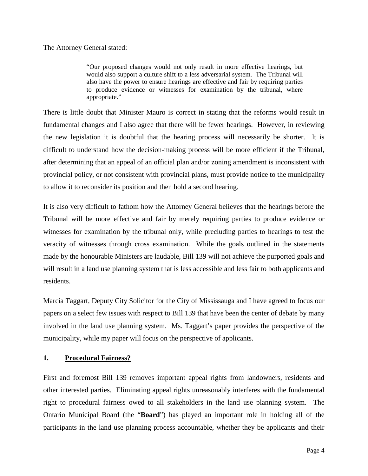The Attorney General stated:

"Our proposed changes would not only result in more effective hearings, but would also support a culture shift to a less adversarial system. The Tribunal will also have the power to ensure hearings are effective and fair by requiring parties to produce evidence or witnesses for examination by the tribunal, where appropriate."

There is little doubt that Minister Mauro is correct in stating that the reforms would result in fundamental changes and I also agree that there will be fewer hearings. However, in reviewing the new legislation it is doubtful that the hearing process will necessarily be shorter. It is difficult to understand how the decision-making process will be more efficient if the Tribunal, after determining that an appeal of an official plan and/or zoning amendment is inconsistent with provincial policy, or not consistent with provincial plans, must provide notice to the municipality to allow it to reconsider its position and then hold a second hearing.

It is also very difficult to fathom how the Attorney General believes that the hearings before the Tribunal will be more effective and fair by merely requiring parties to produce evidence or witnesses for examination by the tribunal only, while precluding parties to hearings to test the veracity of witnesses through cross examination. While the goals outlined in the statements made by the honourable Ministers are laudable, Bill 139 will not achieve the purported goals and will result in a land use planning system that is less accessible and less fair to both applicants and residents.

Marcia Taggart, Deputy City Solicitor for the City of Mississauga and I have agreed to focus our papers on a select few issues with respect to Bill 139 that have been the center of debate by many involved in the land use planning system. Ms. Taggart's paper provides the perspective of the municipality, while my paper will focus on the perspective of applicants.

#### **1. Procedural Fairness?**

First and foremost Bill 139 removes important appeal rights from landowners, residents and other interested parties. Eliminating appeal rights unreasonably interferes with the fundamental right to procedural fairness owed to all stakeholders in the land use planning system. The Ontario Municipal Board (the "**Board**") has played an important role in holding all of the participants in the land use planning process accountable, whether they be applicants and their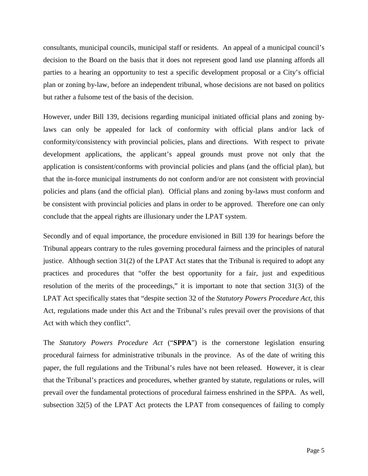consultants, municipal councils, municipal staff or residents. An appeal of a municipal council's decision to the Board on the basis that it does not represent good land use planning affords all parties to a hearing an opportunity to test a specific development proposal or a City's official plan or zoning by-law, before an independent tribunal, whose decisions are not based on politics but rather a fulsome test of the basis of the decision.

However, under Bill 139, decisions regarding municipal initiated official plans and zoning bylaws can only be appealed for lack of conformity with official plans and/or lack of conformity/consistency with provincial policies, plans and directions. With respect to private development applications, the applicant's appeal grounds must prove not only that the application is consistent/conforms with provincial policies and plans (and the official plan), but that the in-force municipal instruments do not conform and/or are not consistent with provincial policies and plans (and the official plan). Official plans and zoning by-laws must conform and be consistent with provincial policies and plans in order to be approved. Therefore one can only conclude that the appeal rights are illusionary under the LPAT system.

Secondly and of equal importance, the procedure envisioned in Bill 139 for hearings before the Tribunal appears contrary to the rules governing procedural fairness and the principles of natural justice. Although section 31(2) of the LPAT Act states that the Tribunal is required to adopt any practices and procedures that "offer the best opportunity for a fair, just and expeditious resolution of the merits of the proceedings," it is important to note that section 31(3) of the LPAT Act specifically states that "despite section 32 of the *Statutory Powers Procedure Act,* this Act, regulations made under this Act and the Tribunal's rules prevail over the provisions of that Act with which they conflict".

The *Statutory Powers Procedure Act* ("**SPPA**") is the cornerstone legislation ensuring procedural fairness for administrative tribunals in the province. As of the date of writing this paper, the full regulations and the Tribunal's rules have not been released. However, it is clear that the Tribunal's practices and procedures, whether granted by statute, regulations or rules, will prevail over the fundamental protections of procedural fairness enshrined in the SPPA. As well, subsection 32(5) of the LPAT Act protects the LPAT from consequences of failing to comply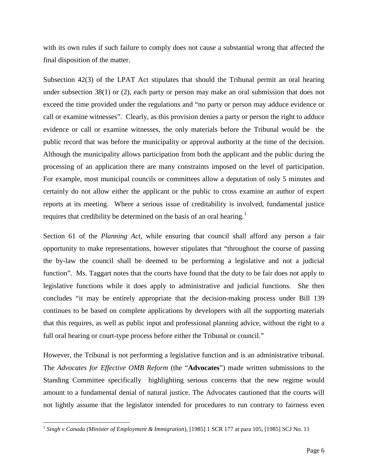with its own rules if such failure to comply does not cause a substantial wrong that affected the final disposition of the matter.

Subsection 42(3) of the LPAT Act stipulates that should the Tribunal permit an oral hearing under subsection 38(1) or (2), each party or person may make an oral submission that does not exceed the time provided under the regulations and "no party or person may adduce evidence or call or examine witnesses". Clearly, as this provision denies a party or person the right to adduce evidence or call or examine witnesses, the only materials before the Tribunal would be the public record that was before the municipality or approval authority at the time of the decision. Although the municipality allows participation from both the applicant and the public during the processing of an application there are many constraints imposed on the level of participation. For example, most municipal councils or committees allow a deputation of only 5 minutes and certainly do not allow either the applicant or the public to cross examine an author of expert reports at its meeting. Where a serious issue of creditability is involved, fundamental justice requires that credibility be determined on the basis of an oral hearing.<sup>[1](#page-6-0)</sup>

Section 61 of the *Planning Act*, while ensuring that council shall afford any person a fair opportunity to make representations, however stipulates that "throughout the course of passing the by-law the council shall be deemed to be performing a legislative and not a judicial function". Ms. Taggart notes that the courts have found that the duty to be fair does not apply to legislative functions while it does apply to administrative and judicial functions. She then concludes "it may be entirely appropriate that the decision-making process under Bill 139 continues to be based on complete applications by developers with all the supporting materials that this requires, as well as public input and professional planning advice, without the right to a full oral hearing or court-type process before either the Tribunal or council."

However, the Tribunal is not performing a legislative function and is an administrative tribunal. The *Advocates for Effective OMB Reform* (the "**Advocates**") made written submissions to the Standing Committee specifically highlighting serious concerns that the new regime would amount to a fundamental denial of natural justice. The Advocates cautioned that the courts will not lightly assume that the legislator intended for procedures to run contrary to fairness even

<span id="page-6-0"></span><sup>1</sup> *Singh v Canada (Minister of Employment & Immigration*), [1985] 1 SCR 177 at para 105, [1985] SCJ No. 11 l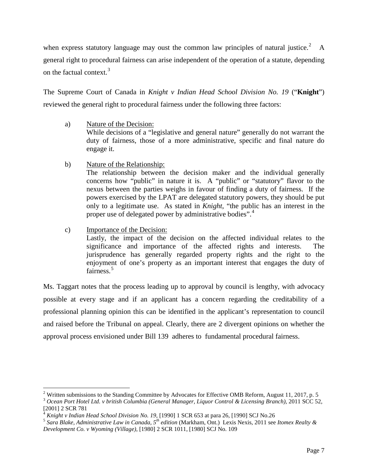when express statutory language may oust the common law principles of natural justice.<sup>[2](#page-7-0)</sup> A general right to procedural fairness can arise independent of the operation of a statute, depending on the factual context.<sup>[3](#page-7-1)</sup>

The Supreme Court of Canada in *Knight v Indian Head School Division No. 19* ("**Knight**") reviewed the general right to procedural fairness under the following three factors:

- a) Nature of the Decision: While decisions of a "legislative and general nature" generally do not warrant the duty of fairness, those of a more administrative, specific and final nature do engage it.
- b) Nature of the Relationship:

The relationship between the decision maker and the individual generally concerns how "public" in nature it is. A "public" or "statutory" flavor to the nexus between the parties weighs in favour of finding a duty of fairness. If the powers exercised by the LPAT are delegated statutory powers, they should be put only to a legitimate use. As stated in *Knight*, "the public has an interest in the proper use of delegated power by administrative bodies".<sup>[4](#page-7-2)</sup>

c) Importance of the Decision:

 $\overline{\phantom{a}}$ 

Lastly, the impact of the decision on the affected individual relates to the significance and importance of the affected rights and interests. The jurisprudence has generally regarded property rights and the right to the enjoyment of one's property as an important interest that engages the duty of fairness.<sup>[5](#page-7-3)</sup>

Ms. Taggart notes that the process leading up to approval by council is lengthy, with advocacy possible at every stage and if an applicant has a concern regarding the creditability of a professional planning opinion this can be identified in the applicant's representation to council and raised before the Tribunal on appeal. Clearly, there are 2 divergent opinions on whether the approval process envisioned under Bill 139 adheres to fundamental procedural fairness.

<span id="page-7-0"></span><sup>&</sup>lt;sup>2</sup> Written submissions to the Standing Committee by Advocates for Effective OMB Reform, August 11, 2017, p. 5

<span id="page-7-1"></span><sup>3</sup> *Ocean Port Hotel Ltd. v british Columbia (General Manager, Liquor Control & Licensing Branch)*, 2011 SCC 52, Example a contract manager, Laquor Control & Licensing Brand (2001) 2 SCR 781<br><sup>4</sup> Knight v Indian Head School Division No. 19, [1990] 1 SCR 653 at para 26, [1990] SCJ No.26

<span id="page-7-2"></span>

<span id="page-7-3"></span><sup>&</sup>lt;sup>5</sup> Sara Blake, Administrative Law in Canada,  $5^{th}$  edition (Markham, Ont.) Lexis Nexis, 2011 see Itomex Realty & *Development Co. v Wyoming (Village)*, [1980] 2 SCR 1011, [1980] SCJ No. 109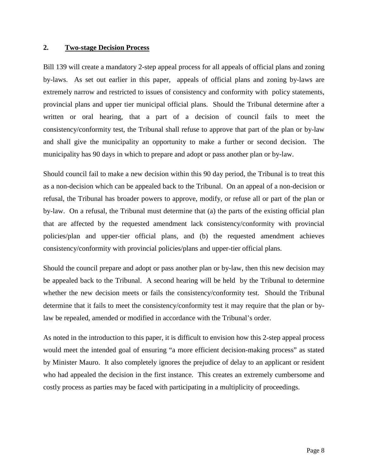#### **2. Two-stage Decision Process**

Bill 139 will create a mandatory 2-step appeal process for all appeals of official plans and zoning by-laws. As set out earlier in this paper, appeals of official plans and zoning by-laws are extremely narrow and restricted to issues of consistency and conformity with policy statements, provincial plans and upper tier municipal official plans. Should the Tribunal determine after a written or oral hearing, that a part of a decision of council fails to meet the consistency/conformity test, the Tribunal shall refuse to approve that part of the plan or by-law and shall give the municipality an opportunity to make a further or second decision. The municipality has 90 days in which to prepare and adopt or pass another plan or by-law.

Should council fail to make a new decision within this 90 day period, the Tribunal is to treat this as a non-decision which can be appealed back to the Tribunal. On an appeal of a non-decision or refusal, the Tribunal has broader powers to approve, modify, or refuse all or part of the plan or by-law. On a refusal, the Tribunal must determine that (a) the parts of the existing official plan that are affected by the requested amendment lack consistency/conformity with provincial policies/plan and upper-tier official plans, and (b) the requested amendment achieves consistency/conformity with provincial policies/plans and upper-tier official plans.

Should the council prepare and adopt or pass another plan or by-law, then this new decision may be appealed back to the Tribunal. A second hearing will be held by the Tribunal to determine whether the new decision meets or fails the consistency/conformity test. Should the Tribunal determine that it fails to meet the consistency/conformity test it may require that the plan or bylaw be repealed, amended or modified in accordance with the Tribunal's order.

As noted in the introduction to this paper, it is difficult to envision how this 2-step appeal process would meet the intended goal of ensuring "a more efficient decision-making process" as stated by Minister Mauro. It also completely ignores the prejudice of delay to an applicant or resident who had appealed the decision in the first instance. This creates an extremely cumbersome and costly process as parties may be faced with participating in a multiplicity of proceedings.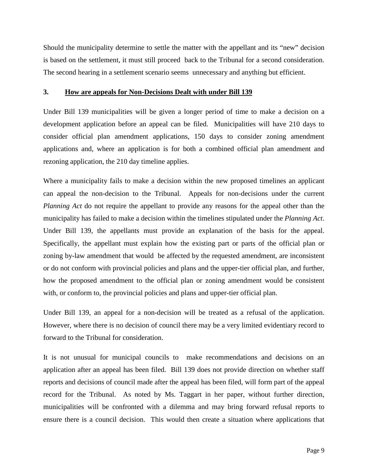Should the municipality determine to settle the matter with the appellant and its "new" decision is based on the settlement, it must still proceed back to the Tribunal for a second consideration. The second hearing in a settlement scenario seems unnecessary and anything but efficient.

#### **3. How are appeals for Non-Decisions Dealt with under Bill 139**

Under Bill 139 municipalities will be given a longer period of time to make a decision on a development application before an appeal can be filed. Municipalities will have 210 days to consider official plan amendment applications, 150 days to consider zoning amendment applications and, where an application is for both a combined official plan amendment and rezoning application, the 210 day timeline applies.

Where a municipality fails to make a decision within the new proposed timelines an applicant can appeal the non-decision to the Tribunal. Appeals for non-decisions under the current *Planning Act* do not require the appellant to provide any reasons for the appeal other than the municipality has failed to make a decision within the timelines stipulated under the *Planning Act*. Under Bill 139, the appellants must provide an explanation of the basis for the appeal. Specifically, the appellant must explain how the existing part or parts of the official plan or zoning by-law amendment that would be affected by the requested amendment, are inconsistent or do not conform with provincial policies and plans and the upper-tier official plan, and further, how the proposed amendment to the official plan or zoning amendment would be consistent with, or conform to, the provincial policies and plans and upper-tier official plan.

Under Bill 139, an appeal for a non-decision will be treated as a refusal of the application. However, where there is no decision of council there may be a very limited evidentiary record to forward to the Tribunal for consideration.

It is not unusual for municipal councils to make recommendations and decisions on an application after an appeal has been filed. Bill 139 does not provide direction on whether staff reports and decisions of council made after the appeal has been filed, will form part of the appeal record for the Tribunal. As noted by Ms. Taggart in her paper, without further direction, municipalities will be confronted with a dilemma and may bring forward refusal reports to ensure there is a council decision. This would then create a situation where applications that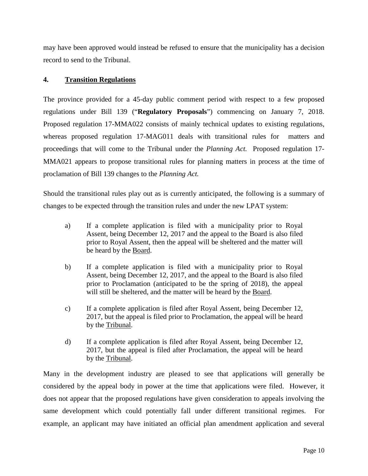may have been approved would instead be refused to ensure that the municipality has a decision record to send to the Tribunal.

#### **4. Transition Regulations**

The province provided for a 45-day public comment period with respect to a few proposed regulations under Bill 139 ("**Regulatory Proposals**") commencing on January 7, 2018. Proposed regulation 17-MMA022 consists of mainly technical updates to existing regulations, whereas proposed regulation 17-MAG011 deals with transitional rules for matters and proceedings that will come to the Tribunal under the *Planning Act.* Proposed regulation 17- MMA021 appears to propose transitional rules for planning matters in process at the time of proclamation of Bill 139 changes to the *Planning Act.*

Should the transitional rules play out as is currently anticipated, the following is a summary of changes to be expected through the transition rules and under the new LPAT system:

- a) If a complete application is filed with a municipality prior to Royal Assent, being December 12, 2017 and the appeal to the Board is also filed prior to Royal Assent, then the appeal will be sheltered and the matter will be heard by the Board.
- b) If a complete application is filed with a municipality prior to Royal Assent, being December 12, 2017, and the appeal to the Board is also filed prior to Proclamation (anticipated to be the spring of 2018), the appeal will still be sheltered, and the matter will be heard by the Board.
- c) If a complete application is filed after Royal Assent, being December 12, 2017, but the appeal is filed prior to Proclamation, the appeal will be heard by the Tribunal.
- d) If a complete application is filed after Royal Assent, being December 12, 2017, but the appeal is filed after Proclamation, the appeal will be heard by the Tribunal.

Many in the development industry are pleased to see that applications will generally be considered by the appeal body in power at the time that applications were filed. However, it does not appear that the proposed regulations have given consideration to appeals involving the same development which could potentially fall under different transitional regimes. For example, an applicant may have initiated an official plan amendment application and several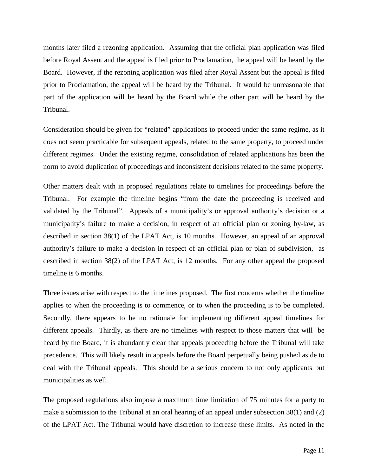months later filed a rezoning application. Assuming that the official plan application was filed before Royal Assent and the appeal is filed prior to Proclamation, the appeal will be heard by the Board. However, if the rezoning application was filed after Royal Assent but the appeal is filed prior to Proclamation, the appeal will be heard by the Tribunal. It would be unreasonable that part of the application will be heard by the Board while the other part will be heard by the Tribunal.

Consideration should be given for "related" applications to proceed under the same regime, as it does not seem practicable for subsequent appeals, related to the same property, to proceed under different regimes. Under the existing regime, consolidation of related applications has been the norm to avoid duplication of proceedings and inconsistent decisions related to the same property.

Other matters dealt with in proposed regulations relate to timelines for proceedings before the Tribunal. For example the timeline begins "from the date the proceeding is received and validated by the Tribunal". Appeals of a municipality's or approval authority's decision or a municipality's failure to make a decision, in respect of an official plan or zoning by-law, as described in section 38(1) of the LPAT Act, is 10 months. However, an appeal of an approval authority's failure to make a decision in respect of an official plan or plan of subdivision, as described in section 38(2) of the LPAT Act, is 12 months. For any other appeal the proposed timeline is 6 months.

Three issues arise with respect to the timelines proposed. The first concerns whether the timeline applies to when the proceeding is to commence, or to when the proceeding is to be completed. Secondly, there appears to be no rationale for implementing different appeal timelines for different appeals. Thirdly, as there are no timelines with respect to those matters that will be heard by the Board, it is abundantly clear that appeals proceeding before the Tribunal will take precedence. This will likely result in appeals before the Board perpetually being pushed aside to deal with the Tribunal appeals. This should be a serious concern to not only applicants but municipalities as well.

The proposed regulations also impose a maximum time limitation of 75 minutes for a party to make a submission to the Tribunal at an oral hearing of an appeal under subsection 38(1) and (2) of the LPAT Act. The Tribunal would have discretion to increase these limits. As noted in the